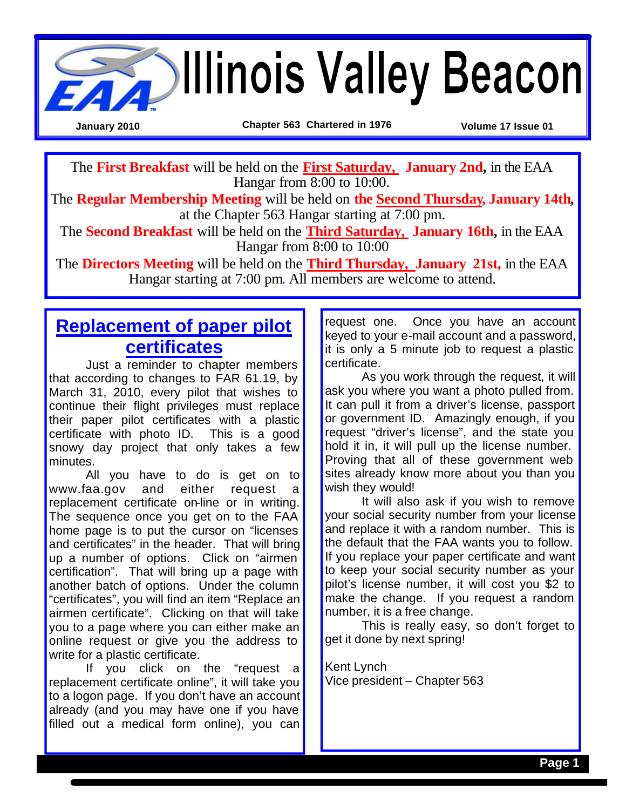

The **First Breakfast** will be held on the **First Saturday, January 2nd,** in the EAA Hangar from 8:00 to 10:00.

The **Regular Membership Meeting** will be held on **the Second Thursday, January 14th,**  at the Chapter 563 Hangar starting at 7:00 pm.

The **Second Breakfast** will be held on the **Third Saturday, January 16th,** in the EAA Hangar from 8:00 to 10:00

The **Directors Meeting** will be held on the **Third Thursday, January 21st,** in the EAA Hangar starting at 7:00 pm. All members are welcome to attend.

# **Replacement of paper pilot certificates**

Just a reminder to chapter members that according to changes to FAR 61.19, by March 31, 2010, every pilot that wishes to continue their flight privileges must replace their paper pilot certificates with a plastic certificate with photo ID. This is a good snowy day project that only takes a few minutes.

All you have to do is get on to www.faa.gov and either request a replacement certificate on-line or in writing. The sequence once you get on to the FAA home page is to put the cursor on "licenses and certificates" in the header. That will bring up a number of options. Click on "airmen certification". That will bring up a page with another batch of options. Under the column "certificates", you will find an item "Replace an airmen certificate". Clicking on that will take you to a page where you can either make an online request or give you the address to write for a plastic certificate.

If you click on the "request a replacement certificate online", it will take you to a logon page. If you don't have an account already (and you may have one if you have filled out a medical form online), you can request one. Once you have an account keyed to your e-mail account and a password, it is only a 5 minute job to request a plastic certificate.

As you work through the request, it will ask you where you want a photo pulled from. It can pull it from a driver's license, passport or government ID. Amazingly enough, if you request "driver's license", and the state you hold it in, it will pull up the license number. Proving that all of these government web sites already know more about you than you wish they would!

It will also ask if you wish to remove your social security number from your license and replace it with a random number. This is the default that the FAA wants you to follow. If you replace your paper certificate and want to keep your social security number as your pilot's license number, it will cost you \$2 to make the change. If you request a random number, it is a free change.

This is really easy, so don't forget to get it done by next spring!

Kent Lynch Vice president – Chapter 563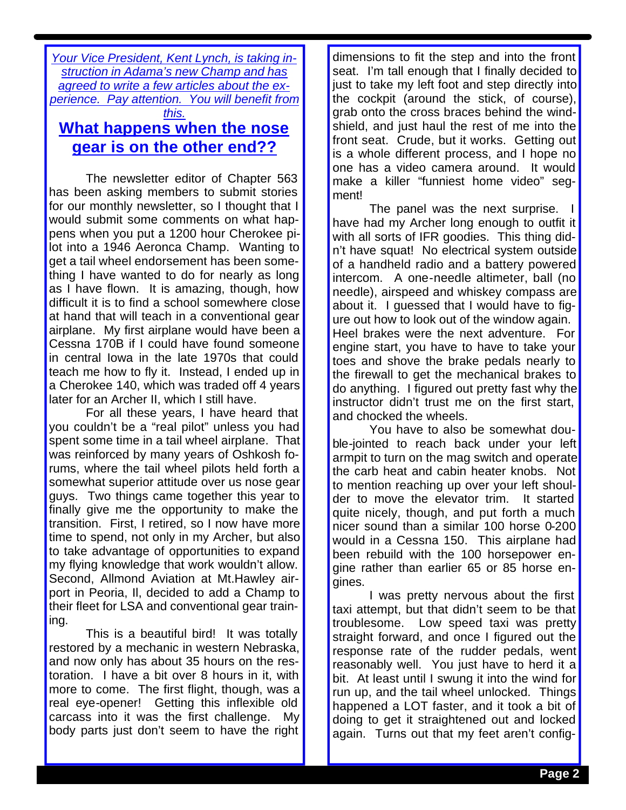*Your Vice President, Kent Lynch, is taking instruction in Adama's new Champ and has agreed to write a few articles about the experience. Pay attention. You will benefit from this.*

## **What happens when the nose gear is on the other end??**

The newsletter editor of Chapter 563 has been asking members to submit stories for our monthly newsletter, so I thought that I would submit some comments on what happens when you put a 1200 hour Cherokee pilot into a 1946 Aeronca Champ. Wanting to get a tail wheel endorsement has been something I have wanted to do for nearly as long as I have flown. It is amazing, though, how difficult it is to find a school somewhere close at hand that will teach in a conventional gear airplane. My first airplane would have been a Cessna 170B if I could have found someone in central Iowa in the late 1970s that could teach me how to fly it. Instead, I ended up in a Cherokee 140, which was traded off 4 years later for an Archer II, which I still have.

For all these years, I have heard that you couldn't be a "real pilot" unless you had spent some time in a tail wheel airplane. That was reinforced by many years of Oshkosh forums, where the tail wheel pilots held forth a somewhat superior attitude over us nose gear guys. Two things came together this year to finally give me the opportunity to make the transition. First, I retired, so I now have more time to spend, not only in my Archer, but also to take advantage of opportunities to expand my flying knowledge that work wouldn't allow. Second, Allmond Aviation at Mt.Hawley airport in Peoria, Il, decided to add a Champ to their fleet for LSA and conventional gear training.

This is a beautiful bird! It was totally restored by a mechanic in western Nebraska, and now only has about 35 hours on the restoration. I have a bit over 8 hours in it, with more to come. The first flight, though, was a real eye-opener! Getting this inflexible old carcass into it was the first challenge. My body parts just don't seem to have the right dimensions to fit the step and into the front seat. I'm tall enough that I finally decided to just to take my left foot and step directly into the cockpit (around the stick, of course), grab onto the cross braces behind the windshield, and just haul the rest of me into the front seat. Crude, but it works. Getting out is a whole different process, and I hope no one has a video camera around. It would make a killer "funniest home video" segment!

The panel was the next surprise. I have had my Archer long enough to outfit it with all sorts of IFR goodies. This thing didn't have squat! No electrical system outside of a handheld radio and a battery powered intercom. A one-needle altimeter, ball (no needle), airspeed and whiskey compass are about it. I guessed that I would have to figure out how to look out of the window again. Heel brakes were the next adventure. For engine start, you have to have to take your toes and shove the brake pedals nearly to the firewall to get the mechanical brakes to do anything. I figured out pretty fast why the instructor didn't trust me on the first start, and chocked the wheels.

You have to also be somewhat double-jointed to reach back under your left armpit to turn on the mag switch and operate the carb heat and cabin heater knobs. Not to mention reaching up over your left shoulder to move the elevator trim. It started quite nicely, though, and put forth a much nicer sound than a similar 100 horse 0-200 would in a Cessna 150. This airplane had been rebuild with the 100 horsepower engine rather than earlier 65 or 85 horse engines.

I was pretty nervous about the first taxi attempt, but that didn't seem to be that troublesome. Low speed taxi was pretty straight forward, and once I figured out the response rate of the rudder pedals, went reasonably well. You just have to herd it a bit. At least until I swung it into the wind for run up, and the tail wheel unlocked. Things happened a LOT faster, and it took a bit of doing to get it straightened out and locked again. Turns out that my feet aren't config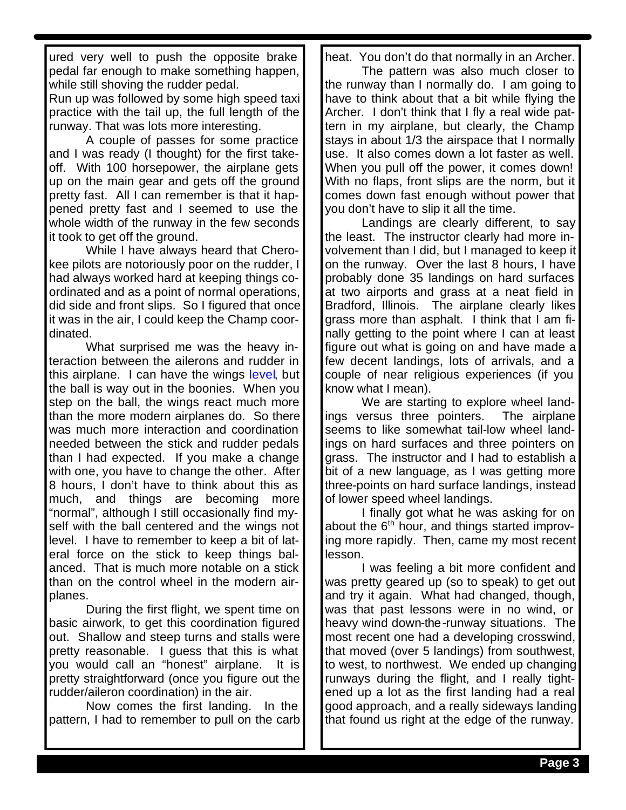ured very well to push the opposite brake pedal far enough to make something happen, while still shoving the rudder pedal.

Run up was followed by some high speed taxi practice with the tail up, the full length of the runway. That was lots more interesting.

A couple of passes for some practice and I was ready (I thought) for the first takeoff. With 100 horsepower, the airplane gets up on the main gear and gets off the ground pretty fast. All I can remember is that it happened pretty fast and I seemed to use the whole width of the runway in the few seconds it took to get off the ground.

While I have always heard that Cherokee pilots are notoriously poor on the rudder, I had always worked hard at keeping things coordinated and as a point of normal operations, did side and front slips. So I figured that once it was in the air, I could keep the Champ coordinated.

What surprised me was the heavy interaction between the ailerons and rudder in this airplane. I can have the wings level, but the ball is way out in the boonies. When you step on the ball, the wings react much more than the more modern airplanes do. So there was much more interaction and coordination needed between the stick and rudder pedals than I had expected. If you make a change with one, you have to change the other. After 8 hours, I don't have to think about this as much, and things are becoming more "normal", although I still occasionally find myself with the ball centered and the wings not level. I have to remember to keep a bit of lateral force on the stick to keep things balanced. That is much more notable on a stick than on the control wheel in the modern airplanes.

During the first flight, we spent time on basic airwork, to get this coordination figured out. Shallow and steep turns and stalls were pretty reasonable. I guess that this is what you would call an "honest" airplane. It is pretty straightforward (once you figure out the rudder/aileron coordination) in the air.

Now comes the first landing. In the pattern, I had to remember to pull on the carb heat. You don't do that normally in an Archer.

The pattern was also much closer to the runway than I normally do. I am going to have to think about that a bit while flying the Archer. I don't think that I fly a real wide pattern in my airplane, but clearly, the Champ stays in about 1/3 the airspace that I normally use. It also comes down a lot faster as well. When you pull off the power, it comes down! With no flaps, front slips are the norm, but it comes down fast enough without power that you don't have to slip it all the time.

Landings are clearly different, to say the least. The instructor clearly had more involvement than I did, but I managed to keep it on the runway. Over the last 8 hours, I have probably done 35 landings on hard surfaces at two airports and grass at a neat field in Bradford, Illinois. The airplane clearly likes grass more than asphalt. I think that I am finally getting to the point where I can at least figure out what is going on and have made a few decent landings, lots of arrivals, and a couple of near religious experiences (if you know what I mean).

We are starting to explore wheel landings versus three pointers. The airplane seems to like somewhat tail-low wheel landings on hard surfaces and three pointers on grass. The instructor and I had to establish a bit of a new language, as I was getting more three-points on hard surface landings, instead of lower speed wheel landings.

I finally got what he was asking for on about the  $6<sup>th</sup>$  hour, and things started improving more rapidly. Then, came my most recent lesson.

I was feeling a bit more confident and was pretty geared up (so to speak) to get out and try it again. What had changed, though, was that past lessons were in no wind, or heavy wind down-the-runway situations. The most recent one had a developing crosswind, that moved (over 5 landings) from southwest, to west, to northwest. We ended up changing runways during the flight, and I really tightened up a lot as the first landing had a real good approach, and a really sideways landing that found us right at the edge of the runway.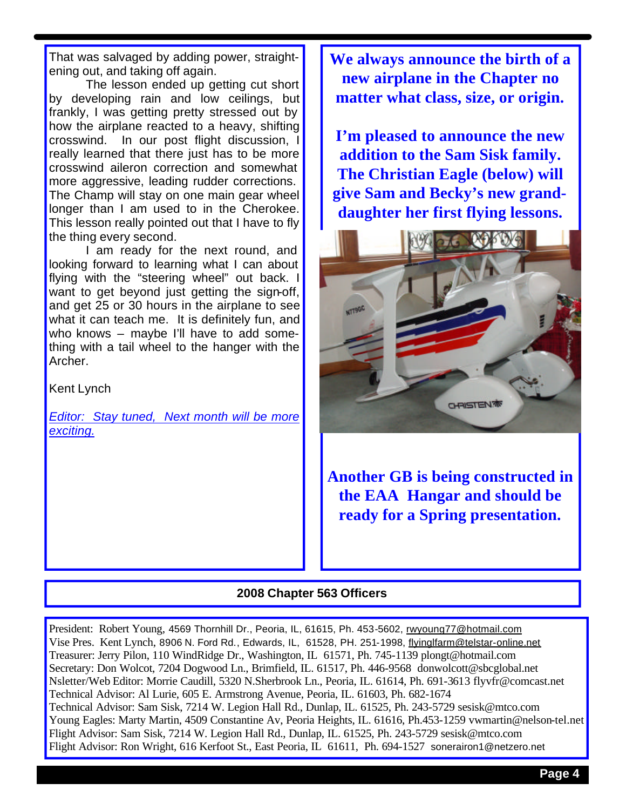That was salvaged by adding power, straightening out, and taking off again.

The lesson ended up getting cut short by developing rain and low ceilings, but frankly, I was getting pretty stressed out by how the airplane reacted to a heavy, shifting crosswind. In our post flight discussion, I really learned that there just has to be more crosswind aileron correction and somewhat more aggressive, leading rudder corrections. The Champ will stay on one main gear wheel longer than I am used to in the Cherokee. This lesson really pointed out that I have to fly the thing every second.

I am ready for the next round, and looking forward to learning what I can about flying with the "steering wheel" out back. I want to get beyond just getting the sign-off, and get 25 or 30 hours in the airplane to see what it can teach me. It is definitely fun, and who knows – maybe I'll have to add something with a tail wheel to the hanger with the Archer.

Kent Lynch

*Editor: Stay tuned, Next month will be more exciting.*

**We always announce the birth of a new airplane in the Chapter no matter what class, size, or origin.**

**I'm pleased to announce the new addition to the Sam Sisk family. The Christian Eagle (below) will give Sam and Becky's new granddaughter her first flying lessons.**



**Another GB is being constructed in the EAA Hangar and should be ready for a Spring presentation.**

#### **2008 Chapter 563 Officers**

President: Robert Young, 4569 Thornhill Dr., Peoria, IL, 61615, Ph. 453-5602, rwyoung77@hotmail.com Vise Pres. Kent Lynch, 8906 N. Ford Rd., Edwards, IL, 61528, PH. 251-1998, flyinglfarm@telstar-online.net Treasurer: Jerry Pilon, 110 WindRidge Dr., Washington, IL 61571, Ph. 745-1139 plongt@hotmail.com Secretary: Don Wolcot, 7204 Dogwood Ln., Brimfield, IL. 61517, Ph. 446-9568 donwolcott@sbcglobal.net Nsletter/Web Editor: Morrie Caudill, 5320 N.Sherbrook Ln., Peoria, IL. 61614, Ph. 691-3613 flyvfr@comcast.net Technical Advisor: Al Lurie, 605 E. Armstrong Avenue, Peoria, IL. 61603, Ph. 682-1674 Technical Advisor: Sam Sisk, 7214 W. Legion Hall Rd., Dunlap, IL. 61525, Ph. 243-5729 sesisk@mtco.com Young Eagles: Marty Martin, 4509 Constantine Av, Peoria Heights, IL. 61616, Ph.453-1259 vwmartin@nelson-tel.net Flight Advisor: Sam Sisk, 7214 W. Legion Hall Rd., Dunlap, IL. 61525, Ph. 243-5729 sesisk@mtco.com Flight Advisor: Ron Wright, 616 Kerfoot St., East Peoria, IL 61611, Ph. 694-1527 sonerairon1@netzero.net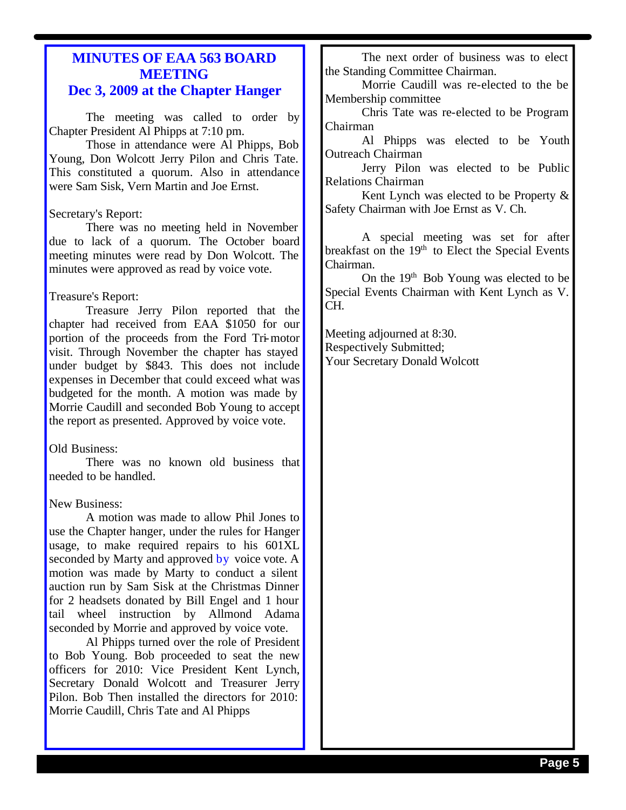### **MINUTES OF EAA 563 BOARD MEETING Dec 3, 2009 at the Chapter Hanger**

The meeting was called to order by Chapter President Al Phipps at 7:10 pm.

Those in attendance were Al Phipps, Bob Young, Don Wolcott Jerry Pilon and Chris Tate. This constituted a quorum. Also in attendance were Sam Sisk, Vern Martin and Joe Ernst.

#### Secretary's Report:

There was no meeting held in November due to lack of a quorum. The October board meeting minutes were read by Don Wolcott. The minutes were approved as read by voice vote.

#### Treasure's Report:

Treasure Jerry Pilon reported that the chapter had received from EAA \$1050 for our portion of the proceeds from the Ford Tri-motor visit. Through November the chapter has stayed under budget by \$843. This does not include expenses in December that could exceed what was budgeted for the month. A motion was made by Morrie Caudill and seconded Bob Young to accept the report as presented. Approved by voice vote.

#### Old Business:

There was no known old business that needed to be handled.

#### New Business:

A motion was made to allow Phil Jones to use the Chapter hanger, under the rules for Hanger usage, to make required repairs to his 601XL seconded by Marty and approved by voice vote. A motion was made by Marty to conduct a silent auction run by Sam Sisk at the Christmas Dinner for 2 headsets donated by Bill Engel and 1 hour tail wheel instruction by Allmond Adama seconded by Morrie and approved by voice vote.

Al Phipps turned over the role of President to Bob Young. Bob proceeded to seat the new officers for 2010: Vice President Kent Lynch, Secretary Donald Wolcott and Treasurer Jerry Pilon. Bob Then installed the directors for 2010: Morrie Caudill, Chris Tate and Al Phipps

The next order of business was to elect the Standing Committee Chairman.

Morrie Caudill was re-elected to the be Membership committee

Chris Tate was re-elected to be Program Chairman

Al Phipps was elected to be Youth Outreach Chairman

Jerry Pilon was elected to be Public Relations Chairman

Kent Lynch was elected to be Property & Safety Chairman with Joe Ernst as V. Ch.

A special meeting was set for after breakfast on the 19<sup>th</sup> to Elect the Special Events Chairman.

On the 19<sup>th</sup> Bob Young was elected to be Special Events Chairman with Kent Lynch as V. CH.

Meeting adjourned at 8:30. Respectively Submitted; Your Secretary Donald Wolcott